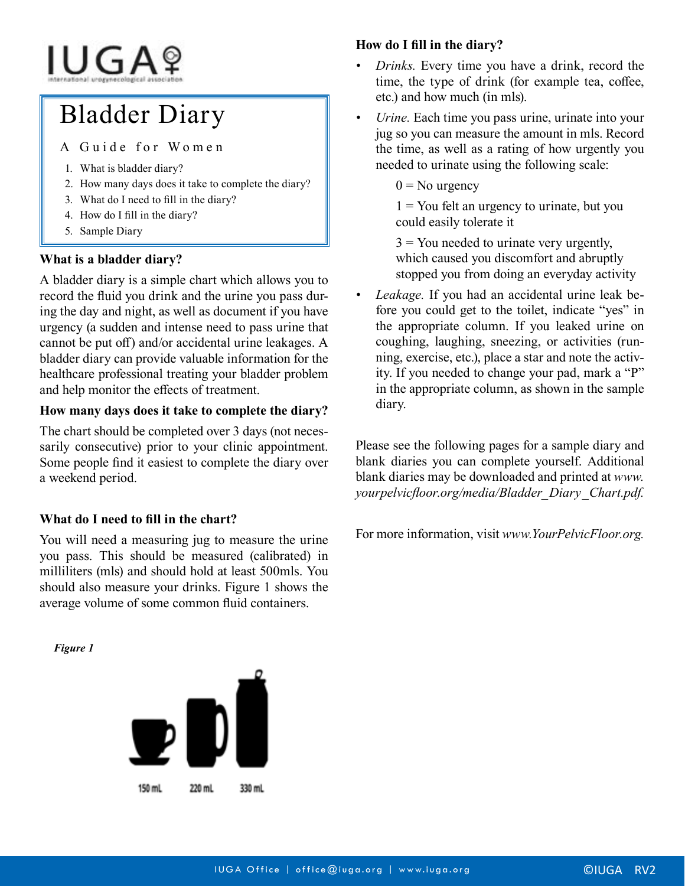# IUGAº

# Bladder Diary

A Guide for Women

- 1. What is bladder diary?
- 2. How many days does it take to complete the diary?
- 3. What do I need to fill in the diary?
- 4. How do I fill in the diary?
- 5. Sample Diary

#### **What is a bladder diary?**

A bladder diary is a simple chart which allows you to record the fluid you drink and the urine you pass during the day and night, as well as document if you have urgency (a sudden and intense need to pass urine that cannot be put off) and/or accidental urine leakages. A bladder diary can provide valuable information for the healthcare professional treating your bladder problem and help monitor the effects of treatment.

#### **How many days does it take to complete the diary?**

The chart should be completed over 3 days (not necessarily consecutive) prior to your clinic appointment. Some people find it easiest to complete the diary over a weekend period.

### **What do I need to fill in the chart?**

You will need a measuring jug to measure the urine you pass. This should be measured (calibrated) in milliliters (mls) and should hold at least 500mls. You should also measure your drinks. Figure 1 shows the average volume of some common fluid containers.

#### **How do I fill in the diary?**

- *• Drinks.* Every time you have a drink, record the time, the type of drink (for example tea, coffee, etc.) and how much (in mls).
- *Urine*. Each time you pass urine, urinate into your jug so you can measure the amount in mls. Record the time, as well as a rating of how urgently you needed to urinate using the following scale:
	- $0 =$ No urgency

 $1 =$  You felt an urgency to urinate, but you could easily tolerate it

 $3$  = You needed to urinate very urgently, which caused you discomfort and abruptly stopped you from doing an everyday activity

*• Leakage.* If you had an accidental urine leak before you could get to the toilet, indicate "yes" in the appropriate column. If you leaked urine on coughing, laughing, sneezing, or activities (running, exercise, etc.), place a star and note the activity. If you needed to change your pad, mark a "P" in the appropriate column, as shown in the sample diary.

Please see the following pages for a sample diary and blank diaries you can complete yourself. Additional blank diaries may be downloaded and printed at *www. yourpelvicfloor.org/media/Bladder\_Diary\_Chart.pdf.*

For more information, visit *www.YourPelvicFloor.org.*

*Figure 1*

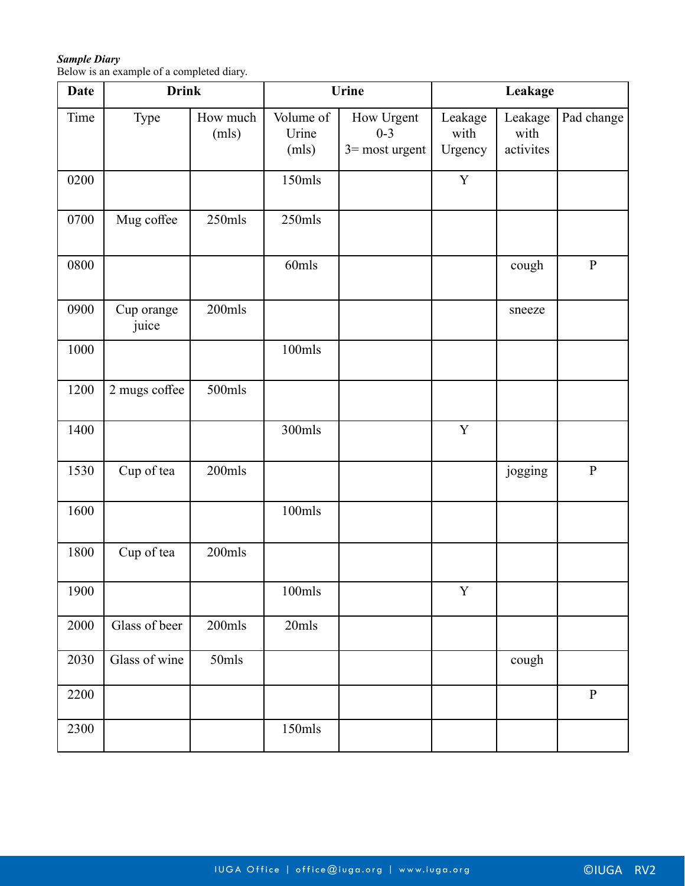## *Sample Diary*

Below is an example of a completed diary.

| <b>Date</b> | <b>Drink</b>        |                   | Urine                               |                                            | Leakage                    |                              |              |
|-------------|---------------------|-------------------|-------------------------------------|--------------------------------------------|----------------------------|------------------------------|--------------|
| Time        | Type                | How much<br>(mls) | Volume of<br>Urine<br>(mls)         | How Urgent<br>$0 - 3$<br>$3 =$ most urgent | Leakage<br>with<br>Urgency | Leakage<br>with<br>activites | Pad change   |
| 0200        |                     |                   | $150$ mls                           |                                            | $\mathbf Y$                |                              |              |
| 0700        | Mug coffee          | 250mls            | $250$ mls                           |                                            |                            |                              |              |
| 0800        |                     |                   | 60mls                               |                                            |                            | cough                        | $\, {\bf P}$ |
| 0900        | Cup orange<br>juice | 200mls            |                                     |                                            |                            | sneeze                       |              |
| 1000        |                     |                   | $100$ mls                           |                                            |                            |                              |              |
| 1200        | 2 mugs coffee       | 500mls            |                                     |                                            |                            |                              |              |
| 1400        |                     |                   | 300mls                              |                                            | $\mathbf Y$                |                              |              |
| 1530        | Cup of tea          | 200mls            |                                     |                                            |                            | jogging                      | $\, {\bf P}$ |
| 1600        |                     |                   | $100$ mls                           |                                            |                            |                              |              |
| 1800        | Cup of tea          | 200mls            |                                     |                                            |                            |                              |              |
| 1900        |                     |                   | $100\mathrm{m}\mathrm{l}\mathrm{s}$ |                                            | Y                          |                              |              |
| 2000        | Glass of beer       | $200$ mls         | 20mls                               |                                            |                            |                              |              |
| 2030        | Glass of wine       | 50mls             |                                     |                                            |                            | cough                        |              |
| 2200        |                     |                   |                                     |                                            |                            |                              | $\, {\bf P}$ |
| 2300        |                     |                   | $150$ mls                           |                                            |                            |                              |              |